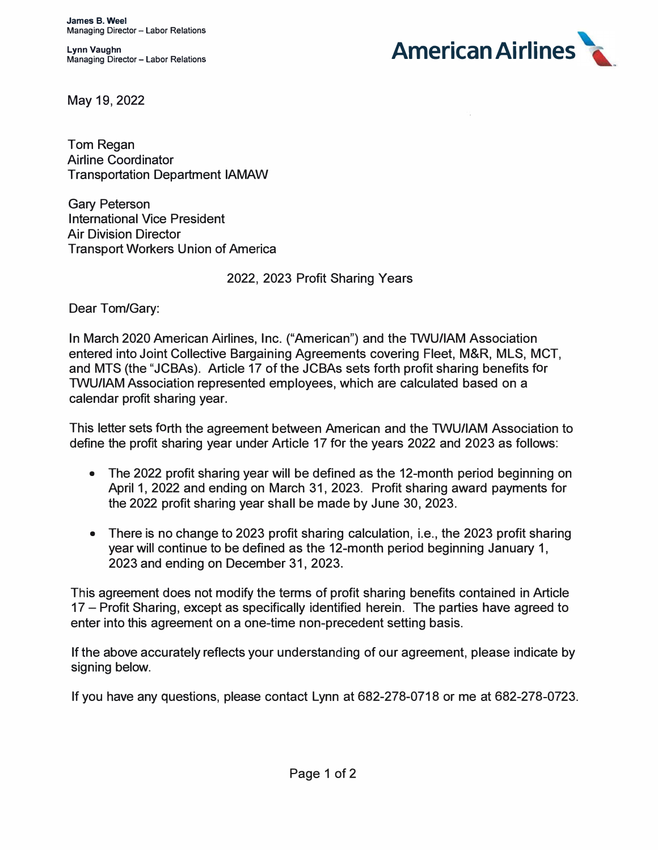**Lynn Vaughn Managing Director - Labor Relations** 



May 19, 2022

Tom Regan Airline Coordinator Transportation Department IAMAW

Gary Peterson International Vice President Air Division Director Transport Workers Union of America

2022, 2023 Profit Sharing Years

Dear Tom/Gary:

In March 2020 American Airlines, Inc. ("American") and the TWU/IAM Association entered into Joint Collective Bargaining Agreements covering Fleet, M&R, MLS, MCT, and MTS (the "JCBAs). Article 17 of the JCBAs sets forth profit sharing benefits for TWU/IAM Association represented employees, which are calculated based on a calendar profit sharing year.

This letter sets forth the agreement between American and the TWU/IAM Association to define the profit sharing year under Article 17 for the years 2022 and 2023 as follows:

- The 2022 profit sharing year will be defined as the 12-month period beginning on April 1, 2022 and ending on March 31, 2023. Profit sharing award payments for the 2022 profit sharing year shall be made by June 30, 2023.
- There is no change to 2023 profit sharing calculation, i.e., the 2023 profit sharing year will continue to be defined as the 12-month period beginning January 1, 2023 and ending on December 31, 2023.

This agreement does not modify the terms of profit sharing benefits contained in Article 17 - Profit Sharing, except as specifically identified herein. The parties have agreed to enter into this agreement on a one-time non-precedent setting basis.

If the above accurately reflects your understanding of our agreement, please indicate by signing below.

If you have any questions, please contact Lynn at 682-278-0718 or me at 682-278-0723.